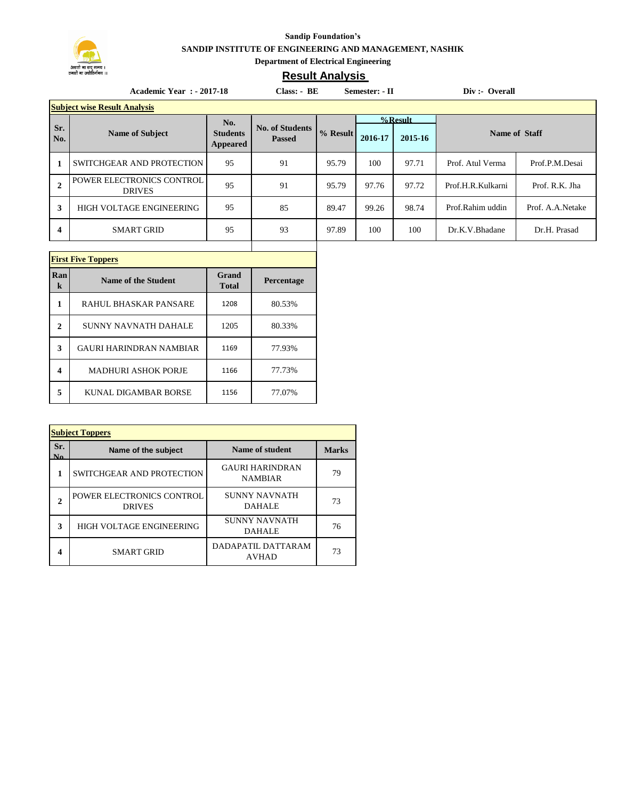

**Sandip Foundation's**

**SANDIP INSTITUTE OF ENGINEERING AND MANAGEMENT, NASHIK**

**Department of Electrical Engineering**

## **Result Analysis**

| NGSUK MIJAN SIS                     |                                            |                                              |                                 |       |            |               |                   |                  |
|-------------------------------------|--------------------------------------------|----------------------------------------------|---------------------------------|-------|------------|---------------|-------------------|------------------|
|                                     | <b>Academic Year : - 2017-18</b>           |                                              | $Class: - BE$<br>Semester: - II |       |            |               | Div :- Overall    |                  |
| <b>Subject wise Result Analysis</b> |                                            |                                              |                                 |       |            |               |                   |                  |
| Sr.                                 | <b>Name of Subject</b>                     | No.                                          | <b>No. of Students</b>          |       | $%$ Result |               |                   |                  |
| No.                                 |                                            | <b>Students</b><br><b>Passed</b><br>Appeared | % Result<br>2016-17             |       | 2015-16    | Name of Staff |                   |                  |
|                                     | SWITCHGEAR AND PROTECTION                  | 95                                           | 91                              | 95.79 | 100        | 97.71         | Prof. Atul Verma  | Prof.P.M.Desai   |
| $\overline{2}$                      | POWER ELECTRONICS CONTROL<br><b>DRIVES</b> | 95                                           | 91                              | 95.79 | 97.76      | 97.72         | Prof.H.R.Kulkarni | Prof. R.K. Jha   |
| 3                                   | <b>HIGH VOLTAGE ENGINEERING</b>            | 95                                           | 85                              | 89.47 | 99.26      | 98.74         | Prof.Rahim uddin  | Prof. A.A.Netake |
| $\overline{4}$                      | <b>SMART GRID</b>                          | 95                                           | 93                              | 97.89 | 100        | 100           | Dr.K.V.Bhadane    | Dr.H. Prasad     |

| <b>First Five Toppers</b>   |                                |                       |            |  |  |
|-----------------------------|--------------------------------|-----------------------|------------|--|--|
| Ran<br>$\bf k$              | <b>Name of the Student</b>     | Grand<br><b>Total</b> | Percentage |  |  |
| 1                           | RAHUL BHASKAR PANSARE          | 1208                  | 80.53%     |  |  |
| $\mathcal{D}_{\mathcal{L}}$ | SUNNY NAVNATH DAHALE           | 1205                  | 80.33%     |  |  |
| 3                           | <b>GAURI HARINDRAN NAMBIAR</b> | 1169                  | 77.93%     |  |  |
|                             | <b>MADHURI ASHOK PORJE</b>     | 1166                  | 77.73%     |  |  |
| 5                           | KUNAL DIGAMBAR BORSE           | 1156                  | 77.07%     |  |  |

| <b>Subject Toppers</b> |                                            |                                          |              |  |  |
|------------------------|--------------------------------------------|------------------------------------------|--------------|--|--|
| Sr.<br><b>No</b>       | Name of the subject                        | Name of student                          | <b>Marks</b> |  |  |
| 1                      | SWITCHGEAR AND PROTECTION                  | <b>GAURI HARINDRAN</b><br><b>NAMBIAR</b> | 79           |  |  |
| 2                      | POWER ELECTRONICS CONTROL<br><b>DRIVES</b> | <b>SUNNY NAVNATH</b><br><b>DAHALE</b>    | 73           |  |  |
| 3                      | <b>HIGH VOLTAGE ENGINEERING</b>            | <b>SUNNY NAVNATH</b><br><b>DAHALE</b>    | 76           |  |  |
| 4                      | <b>SMART GRID</b>                          | DADAPATIL DATTARAM<br><b>AVHAD</b>       | 73           |  |  |